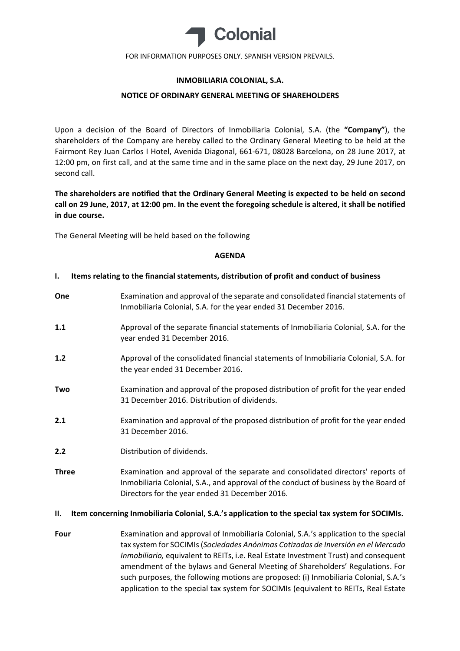

# **INMOBILIARIA COLONIAL, S.A.**

# **NOTICE OF ORDINARY GENERAL MEETING OF SHAREHOLDERS**

Upon a decision of the Board of Directors of Inmobiliaria Colonial, S.A. (the **"Company"**), the shareholders of the Company are hereby called to the Ordinary General Meeting to be held at the Fairmont Rey Juan Carlos I Hotel, Avenida Diagonal, 661‐671, 08028 Barcelona, on 28 June 2017, at 12:00 pm, on first call, and at the same time and in the same place on the next day, 29 June 2017, on second call.

**The shareholders are notified that the Ordinary General Meeting is expected to be held on second** call on 29 June, 2017, at 12:00 pm. In the event the foregoing schedule is altered, it shall be notified **in due course.**

The General Meeting will be held based on the following

### **AGENDA**

### **I. Items relating to the financial statements, distribution of profit and conduct of business**

**One** Examination and approval of the separate and consolidated financial statements of Inmobiliaria Colonial, S.A. for the year ended 31 December 2016. **1.1** Approval of the separate financial statements of Inmobiliaria Colonial, S.A. for the year ended 31 December 2016. **1.2** Approval of the consolidated financial statements of Inmobiliaria Colonial, S.A. for the year ended 31 December 2016. **Two** Examination and approval of the proposed distribution of profit for the year ended 31 December 2016. Distribution of dividends. **2.1** Examination and approval of the proposed distribution of profit for the year ended 31 December 2016. **2.2** Distribution of dividends. **Three** Examination and approval of the separate and consolidated directors' reports of Inmobiliaria Colonial, S.A., and approval of the conduct of business by the Board of

# **II. Item concerning Inmobiliaria Colonial, S.A.'s application to the special tax system for SOCIMIs.**

Directors for the year ended 31 December 2016.

**Four** Examination and approval of Inmobiliaria Colonial, S.A.'s application to the special tax system for SOCIMIs(*Sociedades Anónimas Cotizadas de Inversión en el Mercado Inmobiliario,* equivalent to REITs, i.e. Real Estate Investment Trust) and consequent amendment of the bylaws and General Meeting of Shareholders' Regulations. For such purposes, the following motions are proposed: (i) Inmobiliaria Colonial, S.A.'s application to the special tax system for SOCIMIs (equivalent to REITs, Real Estate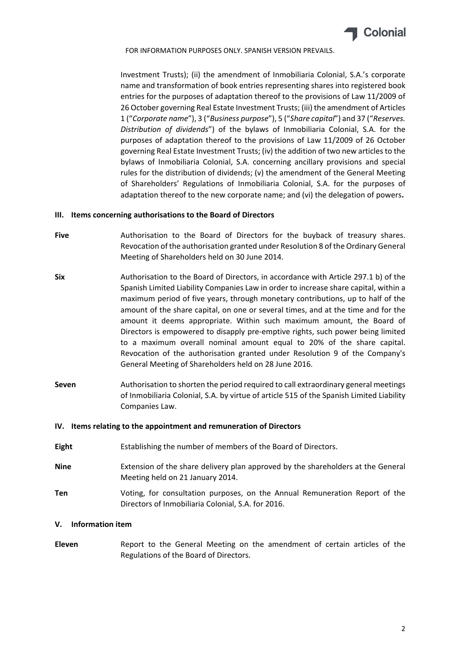

Investment Trusts); (ii) the amendment of Inmobiliaria Colonial, S.A.'s corporate name and transformation of book entries representing shares into registered book entries for the purposes of adaptation thereof to the provisions of Law 11/2009 of 26 October governing Real Estate Investment Trusts; (iii) the amendment of Articles 1 ("*Corporate name*"), 3 ("*Business purpose*"), 5 ("*Share capital*") and 37 ("*Reserves. Distribution of dividends*") of the bylaws of Inmobiliaria Colonial, S.A. for the purposes of adaptation thereof to the provisions of Law 11/2009 of 26 October governing Real Estate Investment Trusts; (iv) the addition of two new articles to the bylaws of Inmobiliaria Colonial, S.A. concerning ancillary provisions and special rules for the distribution of dividends; (v) the amendment of the General Meeting of Shareholders' Regulations of Inmobiliaria Colonial, S.A. for the purposes of adaptation thereof to the new corporate name; and (vi) the delegation of powers**.**

### **III. Items concerning authorisations to the Board of Directors**

- Five **Authorisation to the Board of Directors for the buyback of treasury shares.** Revocation of the authorisation granted under Resolution 8 of the Ordinary General Meeting of Shareholders held on 30 June 2014.
- **Six** Authorisation to the Board of Directors, in accordance with Article 297.1 b) of the Spanish Limited Liability Companies Law in order to increase share capital, within a maximum period of five years, through monetary contributions, up to half of the amount of the share capital, on one or several times, and at the time and for the amount it deems appropriate. Within such maximum amount, the Board of Directors is empowered to disapply pre‐emptive rights, such power being limited to a maximum overall nominal amount equal to 20% of the share capital. Revocation of the authorisation granted under Resolution 9 of the Company's General Meeting of Shareholders held on 28 June 2016.
- **Seven** Authorisation to shorten the period required to call extraordinary general meetings of Inmobiliaria Colonial, S.A. by virtue of article 515 of the Spanish Limited Liability Companies Law.

#### **IV. Items relating to the appointment and remuneration of Directors**

- **Eight** Establishing the number of members of the Board of Directors.
- **Nine** Extension of the share delivery plan approved by the shareholders at the General Meeting held on 21 January 2014.
- **Ten** Voting, for consultation purposes, on the Annual Remuneration Report of the Directors of Inmobiliaria Colonial, S.A. for 2016.

# **V. Information item**

**Eleven** Report to the General Meeting on the amendment of certain articles of the Regulations of the Board of Directors.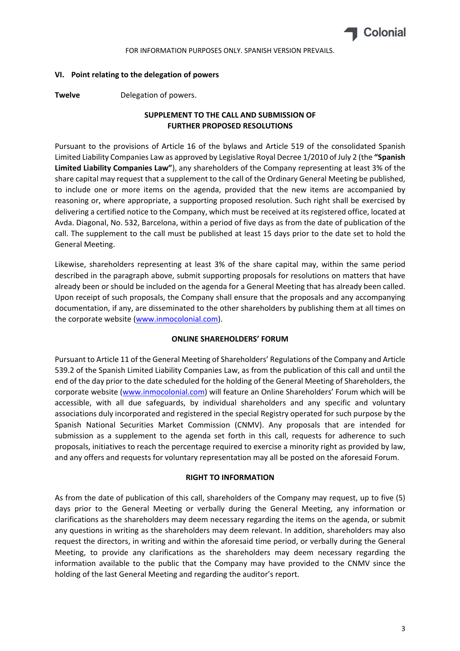

### **VI. Point relating to the delegation of powers**

**Twelve** Delegation of powers.

# **SUPPLEMENT TO THE CALL AND SUBMISSION OF FURTHER PROPOSED RESOLUTIONS**

Pursuant to the provisions of Article 16 of the bylaws and Article 519 of the consolidated Spanish Limited Liability Companies Law as approved by Legislative Royal Decree 1/2010 of July 2 (the **"Spanish Limited Liability Companies Law"**), any shareholders of the Company representing at least 3% of the share capital may request that a supplement to the call of the Ordinary General Meeting be published, to include one or more items on the agenda, provided that the new items are accompanied by reasoning or, where appropriate, a supporting proposed resolution. Such right shall be exercised by delivering a certified notice to the Company, which must be received at its registered office, located at Avda. Diagonal, No. 532, Barcelona, within a period of five days as from the date of publication of the call. The supplement to the call must be published at least 15 days prior to the date set to hold the General Meeting.

Likewise, shareholders representing at least 3% of the share capital may, within the same period described in the paragraph above, submit supporting proposals for resolutions on matters that have already been or should be included on the agenda for a General Meeting that has already been called. Upon receipt of such proposals, the Company shall ensure that the proposals and any accompanying documentation, if any, are disseminated to the other shareholders by publishing them at all times on the corporate website (www.inmocolonial.com).

# **ONLINE SHAREHOLDERS' FORUM**

Pursuant to Article 11 of the General Meeting of Shareholders' Regulations of the Company and Article 539.2 of the Spanish Limited Liability Companies Law, as from the publication of this call and until the end of the day prior to the date scheduled for the holding of the General Meeting of Shareholders, the corporate website (www.inmocolonial.com) will feature an Online Shareholders' Forum which will be accessible, with all due safeguards, by individual shareholders and any specific and voluntary associations duly incorporated and registered in the special Registry operated for such purpose by the Spanish National Securities Market Commission (CNMV). Any proposals that are intended for submission as a supplement to the agenda set forth in this call, requests for adherence to such proposals, initiatives to reach the percentage required to exercise a minority right as provided by law, and any offers and requests for voluntary representation may all be posted on the aforesaid Forum.

#### **RIGHT TO INFORMATION**

As from the date of publication of this call, shareholders of the Company may request, up to five (5) days prior to the General Meeting or verbally during the General Meeting, any information or clarifications as the shareholders may deem necessary regarding the items on the agenda, or submit any questions in writing as the shareholders may deem relevant. In addition, shareholders may also request the directors, in writing and within the aforesaid time period, or verbally during the General Meeting, to provide any clarifications as the shareholders may deem necessary regarding the information available to the public that the Company may have provided to the CNMV since the holding of the last General Meeting and regarding the auditor's report.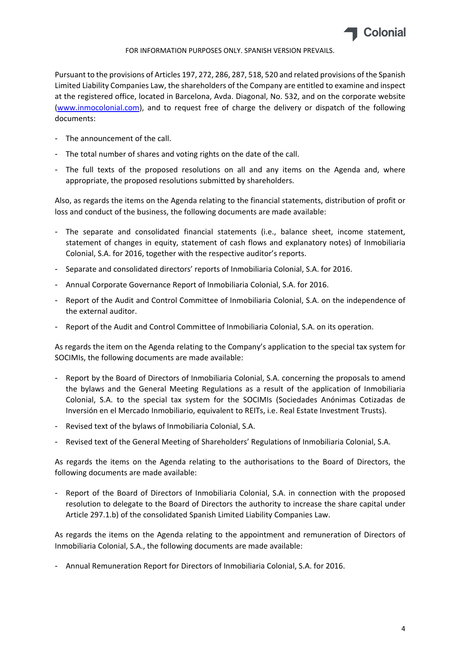

Pursuant to the provisions of Articles 197, 272, 286, 287, 518, 520 and related provisions of the Spanish Limited Liability Companies Law, the shareholders of the Company are entitled to examine and inspect at the registered office, located in Barcelona, Avda. Diagonal, No. 532, and on the corporate website (www.inmocolonial.com), and to request free of charge the delivery or dispatch of the following documents:

- The announcement of the call.
- The total number of shares and voting rights on the date of the call.
- The full texts of the proposed resolutions on all and any items on the Agenda and, where appropriate, the proposed resolutions submitted by shareholders.

Also, as regards the items on the Agenda relating to the financial statements, distribution of profit or loss and conduct of the business, the following documents are made available:

- The separate and consolidated financial statements (i.e., balance sheet, income statement, statement of changes in equity, statement of cash flows and explanatory notes) of Inmobiliaria Colonial, S.A. for 2016, together with the respective auditor's reports.
- Separate and consolidated directors' reports of Inmobiliaria Colonial, S.A. for 2016.
- Annual Corporate Governance Report of Inmobiliaria Colonial, S.A. for 2016.
- Report of the Audit and Control Committee of Inmobiliaria Colonial, S.A. on the independence of the external auditor.
- Report of the Audit and Control Committee of Inmobiliaria Colonial, S.A. on its operation.

As regards the item on the Agenda relating to the Company's application to the special tax system for SOCIMIs, the following documents are made available:

- Report by the Board of Directors of Inmobiliaria Colonial, S.A. concerning the proposals to amend the bylaws and the General Meeting Regulations as a result of the application of Inmobiliaria Colonial, S.A. to the special tax system for the SOCIMIs (Sociedades Anónimas Cotizadas de Inversión en el Mercado Inmobiliario, equivalent to REITs, i.e. Real Estate Investment Trusts).
- Revised text of the bylaws of Inmobiliaria Colonial, S.A.
- Revised text of the General Meeting of Shareholders' Regulations of Inmobiliaria Colonial, S.A.

As regards the items on the Agenda relating to the authorisations to the Board of Directors, the following documents are made available:

- Report of the Board of Directors of Inmobiliaria Colonial, S.A. in connection with the proposed resolution to delegate to the Board of Directors the authority to increase the share capital under Article 297.1.b) of the consolidated Spanish Limited Liability Companies Law.

As regards the items on the Agenda relating to the appointment and remuneration of Directors of Inmobiliaria Colonial, S.A., the following documents are made available:

- Annual Remuneration Report for Directors of Inmobiliaria Colonial, S.A. for 2016.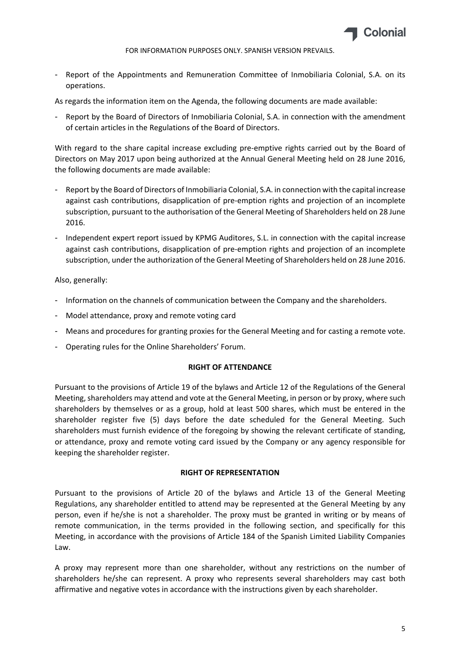

- Report of the Appointments and Remuneration Committee of Inmobiliaria Colonial, S.A. on its operations.

As regards the information item on the Agenda, the following documents are made available:

- Report by the Board of Directors of Inmobiliaria Colonial, S.A. in connection with the amendment of certain articles in the Regulations of the Board of Directors.

With regard to the share capital increase excluding pre-emptive rights carried out by the Board of Directors on May 2017 upon being authorized at the Annual General Meeting held on 28 June 2016, the following documents are made available:

- Report by the Board of Directors of Inmobiliaria Colonial, S.A. in connection with the capital increase against cash contributions, disapplication of pre‐emption rights and projection of an incomplete subscription, pursuant to the authorisation of the General Meeting of Shareholders held on 28 June 2016.
- Independent expert report issued by KPMG Auditores, S.L. in connection with the capital increase against cash contributions, disapplication of pre‐emption rights and projection of an incomplete subscription, under the authorization of the General Meeting of Shareholders held on 28 June 2016.

Also, generally:

- Information on the channels of communication between the Company and the shareholders.
- Model attendance, proxy and remote voting card
- Means and procedures for granting proxies for the General Meeting and for casting a remote vote.
- Operating rules for the Online Shareholders' Forum.

# **RIGHT OF ATTENDANCE**

Pursuant to the provisions of Article 19 of the bylaws and Article 12 of the Regulations of the General Meeting, shareholders may attend and vote at the General Meeting, in person or by proxy, where such shareholders by themselves or as a group, hold at least 500 shares, which must be entered in the shareholder register five (5) days before the date scheduled for the General Meeting. Such shareholders must furnish evidence of the foregoing by showing the relevant certificate of standing, or attendance, proxy and remote voting card issued by the Company or any agency responsible for keeping the shareholder register.

# **RIGHT OF REPRESENTATION**

Pursuant to the provisions of Article 20 of the bylaws and Article 13 of the General Meeting Regulations, any shareholder entitled to attend may be represented at the General Meeting by any person, even if he/she is not a shareholder. The proxy must be granted in writing or by means of remote communication, in the terms provided in the following section, and specifically for this Meeting, in accordance with the provisions of Article 184 of the Spanish Limited Liability Companies Law.

A proxy may represent more than one shareholder, without any restrictions on the number of shareholders he/she can represent. A proxy who represents several shareholders may cast both affirmative and negative votes in accordance with the instructions given by each shareholder.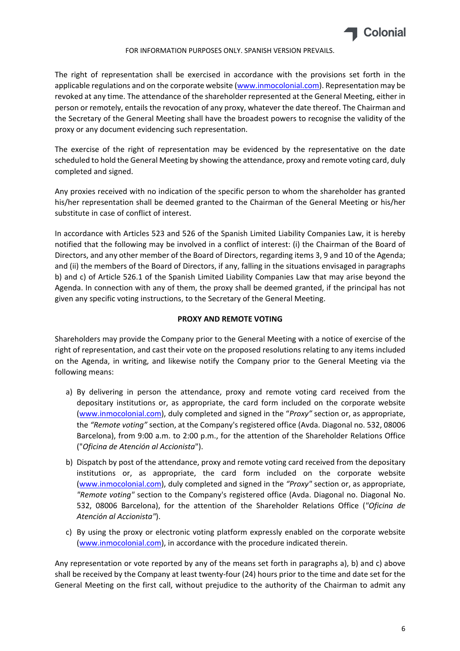

The right of representation shall be exercised in accordance with the provisions set forth in the applicable regulations and on the corporate website (www.inmocolonial.com). Representation may be revoked at any time. The attendance of the shareholder represented at the General Meeting, either in person or remotely, entails the revocation of any proxy, whatever the date thereof. The Chairman and the Secretary of the General Meeting shall have the broadest powers to recognise the validity of the proxy or any document evidencing such representation.

The exercise of the right of representation may be evidenced by the representative on the date scheduled to hold the General Meeting by showing the attendance, proxy and remote voting card, duly completed and signed.

Any proxies received with no indication of the specific person to whom the shareholder has granted his/her representation shall be deemed granted to the Chairman of the General Meeting or his/her substitute in case of conflict of interest.

In accordance with Articles 523 and 526 of the Spanish Limited Liability Companies Law, it is hereby notified that the following may be involved in a conflict of interest: (i) the Chairman of the Board of Directors, and any other member of the Board of Directors, regarding items 3, 9 and 10 of the Agenda; and (ii) the members of the Board of Directors, if any, falling in the situations envisaged in paragraphs b) and c) of Article 526.1 of the Spanish Limited Liability Companies Law that may arise beyond the Agenda. In connection with any of them, the proxy shall be deemed granted, if the principal has not given any specific voting instructions, to the Secretary of the General Meeting.

# **PROXY AND REMOTE VOTING**

Shareholders may provide the Company prior to the General Meeting with a notice of exercise of the right of representation, and cast their vote on the proposed resolutions relating to any items included on the Agenda, in writing, and likewise notify the Company prior to the General Meeting via the following means:

- a) By delivering in person the attendance, proxy and remote voting card received from the depositary institutions or, as appropriate, the card form included on the corporate website (www.inmocolonial.com), duly completed and signed in the "*Proxy"* section or, as appropriate, the *"Remote voting"* section, at the Company's registered office (Avda. Diagonal no. 532, 08006 Barcelona), from 9:00 a.m. to 2:00 p.m., for the attention of the Shareholder Relations Office ("*Oficina de Atención al Accionista*").
- b) Dispatch by post of the attendance, proxy and remote voting card received from the depositary institutions or, as appropriate, the card form included on the corporate website (www.inmocolonial.com), duly completed and signed in the *"Proxy"* section or, as appropriate, *"Remote voting"* section to the Company's registered office (Avda. Diagonal no. Diagonal No. 532, 08006 Barcelona), for the attention of the Shareholder Relations Office (*"Oficina de Atención al Accionista"*).
- c) By using the proxy or electronic voting platform expressly enabled on the corporate website (www.inmocolonial.com), in accordance with the procedure indicated therein.

Any representation or vote reported by any of the means set forth in paragraphs a), b) and c) above shall be received by the Company at least twenty-four (24) hours prior to the time and date set for the General Meeting on the first call, without prejudice to the authority of the Chairman to admit any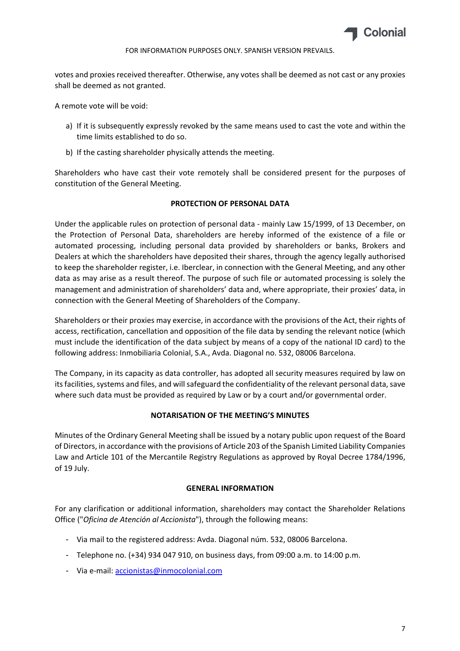

votes and proxies received thereafter. Otherwise, any votes shall be deemed as not cast or any proxies shall be deemed as not granted.

A remote vote will be void:

- a) If it is subsequently expressly revoked by the same means used to cast the vote and within the time limits established to do so.
- b) If the casting shareholder physically attends the meeting.

Shareholders who have cast their vote remotely shall be considered present for the purposes of constitution of the General Meeting.

# **PROTECTION OF PERSONAL DATA**

Under the applicable rules on protection of personal data ‐ mainly Law 15/1999, of 13 December, on the Protection of Personal Data, shareholders are hereby informed of the existence of a file or automated processing, including personal data provided by shareholders or banks, Brokers and Dealers at which the shareholders have deposited their shares, through the agency legally authorised to keep the shareholder register, i.e. Iberclear, in connection with the General Meeting, and any other data as may arise as a result thereof. The purpose of such file or automated processing is solely the management and administration of shareholders' data and, where appropriate, their proxies' data, in connection with the General Meeting of Shareholders of the Company.

Shareholders or their proxies may exercise, in accordance with the provisions of the Act, their rights of access, rectification, cancellation and opposition of the file data by sending the relevant notice (which must include the identification of the data subject by means of a copy of the national ID card) to the following address: Inmobiliaria Colonial, S.A., Avda. Diagonal no. 532, 08006 Barcelona.

The Company, in its capacity as data controller, has adopted all security measures required by law on its facilities, systems and files, and will safeguard the confidentiality of the relevant personal data, save where such data must be provided as required by Law or by a court and/or governmental order.

# **NOTARISATION OF THE MEETING'S MINUTES**

Minutes of the Ordinary General Meeting shall be issued by a notary public upon request of the Board of Directors, in accordance with the provisions of Article 203 of the Spanish Limited Liability Companies Law and Article 101 of the Mercantile Registry Regulations as approved by Royal Decree 1784/1996, of 19 July.

# **GENERAL INFORMATION**

For any clarification or additional information, shareholders may contact the Shareholder Relations Office ("*Oficina de Atención al Accionista*"), through the following means:

- Via mail to the registered address: Avda. Diagonal núm. 532, 08006 Barcelona.
- Telephone no. (+34) 934 047 910, on business days, from 09:00 a.m. to 14:00 p.m.
- Via e‐mail: accionistas@inmocolonial.com